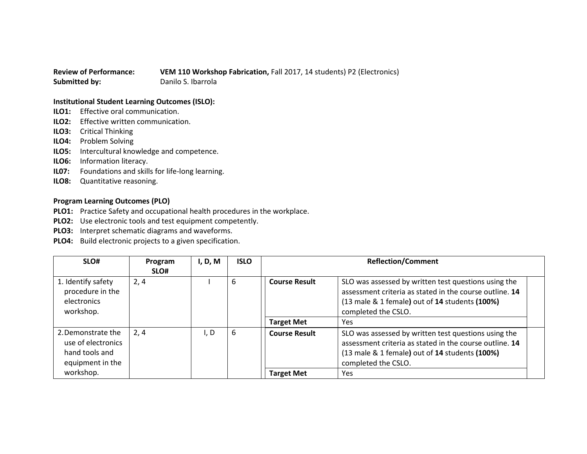## **Review of Performance: VEM 110 Workshop Fabrication,** Fall 2017, 14 students) P2 (Electronics) **Submitted by:** Danilo S. Ibarrola

## **Institutional Student Learning Outcomes (ISLO):**

- **ILO1:** Effective oral communication.
- **ILO2:** Effective written communication.
- **ILO3:** Critical Thinking
- **ILO4:** Problem Solving
- **ILO5:** Intercultural knowledge and competence.
- **ILO6:** Information literacy.
- **IL07:** Foundations and skills for life-long learning.
- **ILO8:** Quantitative reasoning.

## **Program Learning Outcomes (PLO)**

- **PLO1:** Practice Safety and occupational health procedures in the workplace.
- **PLO2:** Use electronic tools and test equipment competently.
- **PLO3:** Interpret schematic diagrams and waveforms.
- **PLO4:** Build electronic projects to a given specification.

| SLO#                                                                           | Program<br>SLO# | I, D, M | <b>ISLO</b> | <b>Reflection/Comment</b> |                                                                                                                                                                                          |
|--------------------------------------------------------------------------------|-----------------|---------|-------------|---------------------------|------------------------------------------------------------------------------------------------------------------------------------------------------------------------------------------|
| 1. Identify safety<br>procedure in the<br>electronics<br>workshop.             | 2, 4            |         | 6           | <b>Course Result</b>      | SLO was assessed by written test questions using the<br>assessment criteria as stated in the course outline. 14<br>(13 male & 1 female) out of 14 students (100%)<br>completed the CSLO. |
|                                                                                |                 |         |             | <b>Target Met</b>         | Yes                                                                                                                                                                                      |
| 2. Demonstrate the<br>use of electronics<br>hand tools and<br>equipment in the | 2,4             | I, D    | 6           | <b>Course Result</b>      | SLO was assessed by written test questions using the<br>assessment criteria as stated in the course outline. 14<br>(13 male & 1 female) out of 14 students (100%)<br>completed the CSLO. |
| workshop.                                                                      |                 |         |             | <b>Target Met</b>         | Yes                                                                                                                                                                                      |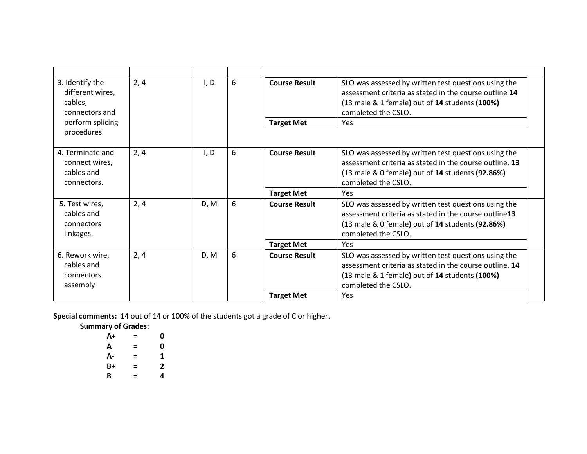| 3. Identify the<br>different wires,<br>cables,<br>connectors and | 2, 4 | I, D | 6 | <b>Course Result</b> | SLO was assessed by written test questions using the<br>assessment criteria as stated in the course outline 14<br>$(13 \text{ male } 81 \text{ female})$ out of 14 students $(100\%)$<br>completed the CSLO.  |
|------------------------------------------------------------------|------|------|---|----------------------|---------------------------------------------------------------------------------------------------------------------------------------------------------------------------------------------------------------|
| perform splicing<br>procedures.                                  |      |      |   | <b>Target Met</b>    | Yes                                                                                                                                                                                                           |
|                                                                  |      |      |   |                      |                                                                                                                                                                                                               |
| 4. Terminate and<br>connect wires,<br>cables and<br>connectors.  | 2, 4 | I, D | 6 | <b>Course Result</b> | SLO was assessed by written test questions using the<br>assessment criteria as stated in the course outline. 13<br>(13 male & 0 female) out of 14 students (92.86%)<br>completed the CSLO.                    |
|                                                                  |      |      |   | <b>Target Met</b>    | Yes                                                                                                                                                                                                           |
| 5. Test wires,<br>cables and<br>connectors<br>linkages.          | 2, 4 | D, M | 6 | <b>Course Result</b> | SLO was assessed by written test questions using the<br>assessment criteria as stated in the course outline13<br>(13 male & 0 female) out of 14 students (92.86%)<br>completed the CSLO.                      |
|                                                                  |      |      |   | <b>Target Met</b>    | Yes                                                                                                                                                                                                           |
| 6. Rework wire,<br>cables and<br>connectors<br>assembly          | 2, 4 | D, M | 6 | <b>Course Result</b> | SLO was assessed by written test questions using the<br>assessment criteria as stated in the course outline. 14<br>$(13 \text{ male } 81 \text{ female})$ out of 14 students $(100\%)$<br>completed the CSLO. |
|                                                                  |      |      |   | <b>Target Met</b>    | Yes                                                                                                                                                                                                           |

**Special comments:** 14 out of 14 or 100% of the students got a grade of C or higher.

**Summary of Grades:**

| $A+$ | = | 0 |
|------|---|---|
| А    | = | 0 |
| А-   | = | 1 |
| B+   | = | 2 |
| B    | = | 4 |